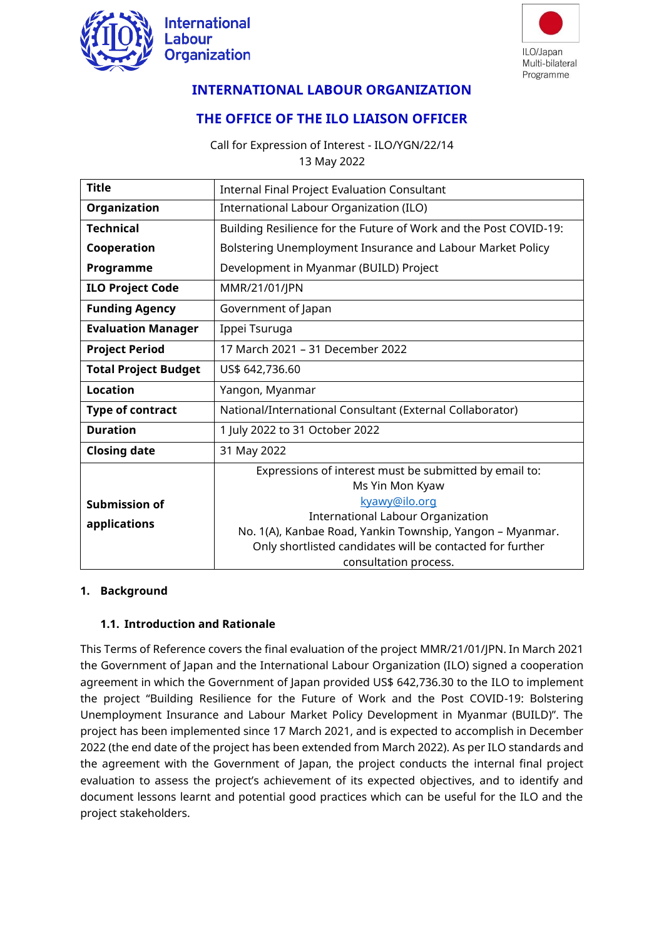



# **INTERNATIONAL LABOUR ORGANIZATION**

# **THE OFFICE OF THE ILO LIAISON OFFICER**

Call for Expression of Interest - ILO/YGN/22/14 13 May 2022

| <b>Title</b>                         | <b>Internal Final Project Evaluation Consultant</b>                                                                                                                                                                                                                                       |  |  |
|--------------------------------------|-------------------------------------------------------------------------------------------------------------------------------------------------------------------------------------------------------------------------------------------------------------------------------------------|--|--|
| Organization                         | International Labour Organization (ILO)                                                                                                                                                                                                                                                   |  |  |
| <b>Technical</b>                     | Building Resilience for the Future of Work and the Post COVID-19:                                                                                                                                                                                                                         |  |  |
| Cooperation                          | Bolstering Unemployment Insurance and Labour Market Policy                                                                                                                                                                                                                                |  |  |
| Programme                            | Development in Myanmar (BUILD) Project                                                                                                                                                                                                                                                    |  |  |
| <b>ILO Project Code</b>              | MMR/21/01/JPN                                                                                                                                                                                                                                                                             |  |  |
| <b>Funding Agency</b>                | Government of Japan                                                                                                                                                                                                                                                                       |  |  |
| <b>Evaluation Manager</b>            | Ippei Tsuruga                                                                                                                                                                                                                                                                             |  |  |
| <b>Project Period</b>                | 17 March 2021 - 31 December 2022                                                                                                                                                                                                                                                          |  |  |
| <b>Total Project Budget</b>          | US\$ 642,736.60                                                                                                                                                                                                                                                                           |  |  |
| <b>Location</b>                      | Yangon, Myanmar                                                                                                                                                                                                                                                                           |  |  |
| <b>Type of contract</b>              | National/International Consultant (External Collaborator)                                                                                                                                                                                                                                 |  |  |
| <b>Duration</b>                      | 1 July 2022 to 31 October 2022                                                                                                                                                                                                                                                            |  |  |
| <b>Closing date</b>                  | 31 May 2022                                                                                                                                                                                                                                                                               |  |  |
| <b>Submission of</b><br>applications | Expressions of interest must be submitted by email to:<br>Ms Yin Mon Kyaw<br>kyawy@ilo.org<br><b>International Labour Organization</b><br>No. 1(A), Kanbae Road, Yankin Township, Yangon - Myanmar.<br>Only shortlisted candidates will be contacted for further<br>consultation process. |  |  |

#### **1. Background**

#### **1.1. Introduction and Rationale**

This Terms of Reference covers the final evaluation of the project MMR/21/01/JPN. In March 2021 the Government of Japan and the International Labour Organization (ILO) signed a cooperation agreement in which the Government of Japan provided US\$ 642,736.30 to the ILO to implement the project "Building Resilience for the Future of Work and the Post COVID-19: Bolstering Unemployment Insurance and Labour Market Policy Development in Myanmar (BUILD)". The project has been implemented since 17 March 2021, and is expected to accomplish in December 2022 (the end date of the project has been extended from March 2022). As per ILO standards and the agreement with the Government of Japan, the project conducts the internal final project evaluation to assess the project's achievement of its expected objectives, and to identify and document lessons learnt and potential good practices which can be useful for the ILO and the project stakeholders.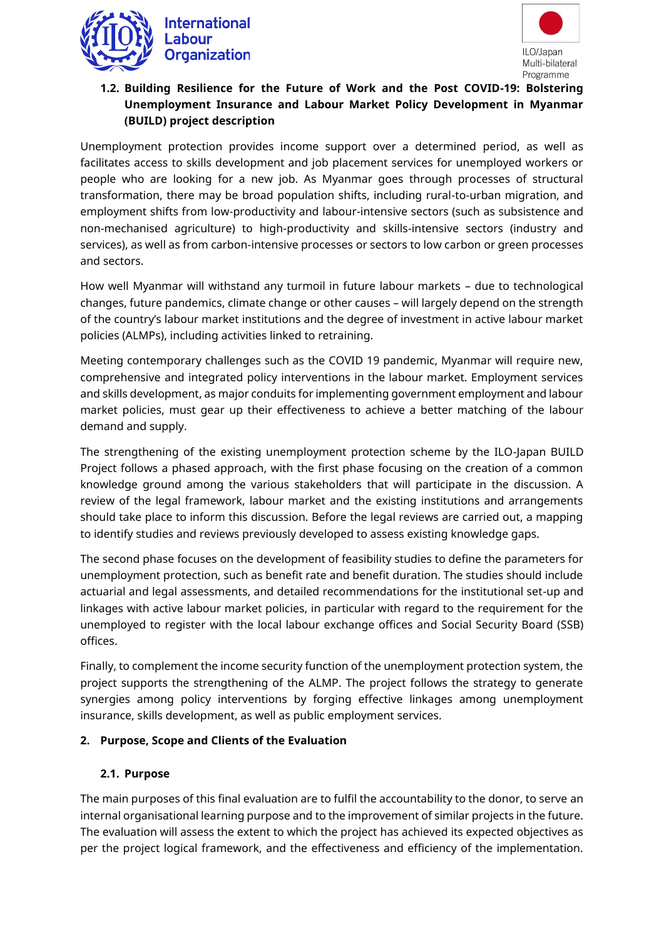



## **1.2. Building Resilience for the Future of Work and the Post COVID-19: Bolstering Unemployment Insurance and Labour Market Policy Development in Myanmar (BUILD) project description**

Unemployment protection provides income support over a determined period, as well as facilitates access to skills development and job placement services for unemployed workers or people who are looking for a new job. As Myanmar goes through processes of structural transformation, there may be broad population shifts, including rural-to-urban migration, and employment shifts from low-productivity and labour-intensive sectors (such as subsistence and non-mechanised agriculture) to high-productivity and skills-intensive sectors (industry and services), as well as from carbon-intensive processes or sectors to low carbon or green processes and sectors.

How well Myanmar will withstand any turmoil in future labour markets – due to technological changes, future pandemics, climate change or other causes – will largely depend on the strength of the country's labour market institutions and the degree of investment in active labour market policies (ALMPs), including activities linked to retraining.

Meeting contemporary challenges such as the COVID 19 pandemic, Myanmar will require new, comprehensive and integrated policy interventions in the labour market. Employment services and skills development, as major conduits for implementing government employment and labour market policies, must gear up their effectiveness to achieve a better matching of the labour demand and supply.

The strengthening of the existing unemployment protection scheme by the ILO-Japan BUILD Project follows a phased approach, with the first phase focusing on the creation of a common knowledge ground among the various stakeholders that will participate in the discussion. A review of the legal framework, labour market and the existing institutions and arrangements should take place to inform this discussion. Before the legal reviews are carried out, a mapping to identify studies and reviews previously developed to assess existing knowledge gaps.

The second phase focuses on the development of feasibility studies to define the parameters for unemployment protection, such as benefit rate and benefit duration. The studies should include actuarial and legal assessments, and detailed recommendations for the institutional set-up and linkages with active labour market policies, in particular with regard to the requirement for the unemployed to register with the local labour exchange offices and Social Security Board (SSB) offices.

Finally, to complement the income security function of the unemployment protection system, the project supports the strengthening of the ALMP. The project follows the strategy to generate synergies among policy interventions by forging effective linkages among unemployment insurance, skills development, as well as public employment services.

#### **2. Purpose, Scope and Clients of the Evaluation**

## **2.1. Purpose**

The main purposes of this final evaluation are to fulfil the accountability to the donor, to serve an internal organisational learning purpose and to the improvement of similar projects in the future. The evaluation will assess the extent to which the project has achieved its expected objectives as per the project logical framework, and the effectiveness and efficiency of the implementation.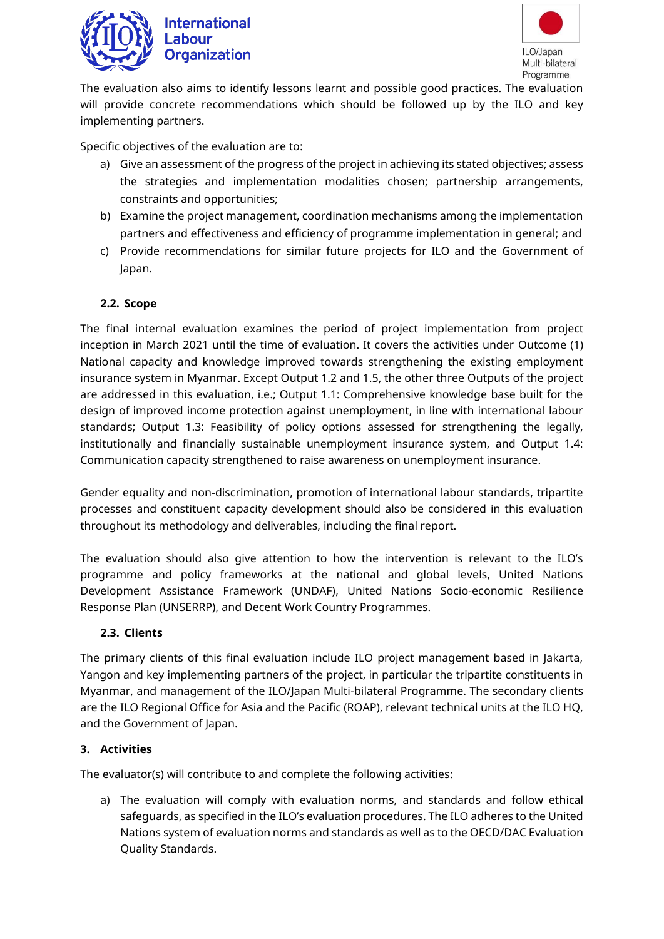

# **International** Labour **Organization**



The evaluation also aims to identify lessons learnt and possible good practices. The evaluation will provide concrete recommendations which should be followed up by the ILO and key implementing partners.

Specific objectives of the evaluation are to:

- a) Give an assessment of the progress of the project in achieving its stated objectives; assess the strategies and implementation modalities chosen; partnership arrangements, constraints and opportunities;
- b) Examine the project management, coordination mechanisms among the implementation partners and effectiveness and efficiency of programme implementation in general; and
- c) Provide recommendations for similar future projects for ILO and the Government of Japan.

## **2.2. Scope**

The final internal evaluation examines the period of project implementation from project inception in March 2021 until the time of evaluation. It covers the activities under Outcome (1) National capacity and knowledge improved towards strengthening the existing employment insurance system in Myanmar. Except Output 1.2 and 1.5, the other three Outputs of the project are addressed in this evaluation, i.e.; Output 1.1: Comprehensive knowledge base built for the design of improved income protection against unemployment, in line with international labour standards; Output 1.3: Feasibility of policy options assessed for strengthening the legally, institutionally and financially sustainable unemployment insurance system, and Output 1.4: Communication capacity strengthened to raise awareness on unemployment insurance.

Gender equality and non-discrimination, promotion of international labour standards, tripartite processes and constituent capacity development should also be considered in this evaluation throughout its methodology and deliverables, including the final report.

The evaluation should also give attention to how the intervention is relevant to the ILO's programme and policy frameworks at the national and global levels, United Nations Development Assistance Framework (UNDAF), United Nations Socio-economic Resilience Response Plan (UNSERRP), and Decent Work Country Programmes.

#### **2.3. Clients**

The primary clients of this final evaluation include ILO project management based in Jakarta, Yangon and key implementing partners of the project, in particular the tripartite constituents in Myanmar, and management of the ILO/Japan Multi-bilateral Programme. The secondary clients are the ILO Regional Office for Asia and the Pacific (ROAP), relevant technical units at the ILO HQ, and the Government of Japan.

#### **3. Activities**

The evaluator(s) will contribute to and complete the following activities:

a) The evaluation will comply with evaluation norms, and standards and follow ethical safeguards, as specified in the ILO's evaluation procedures. The ILO adheres to the United Nations system of evaluation norms and standards as well as to the OECD/DAC Evaluation Quality Standards.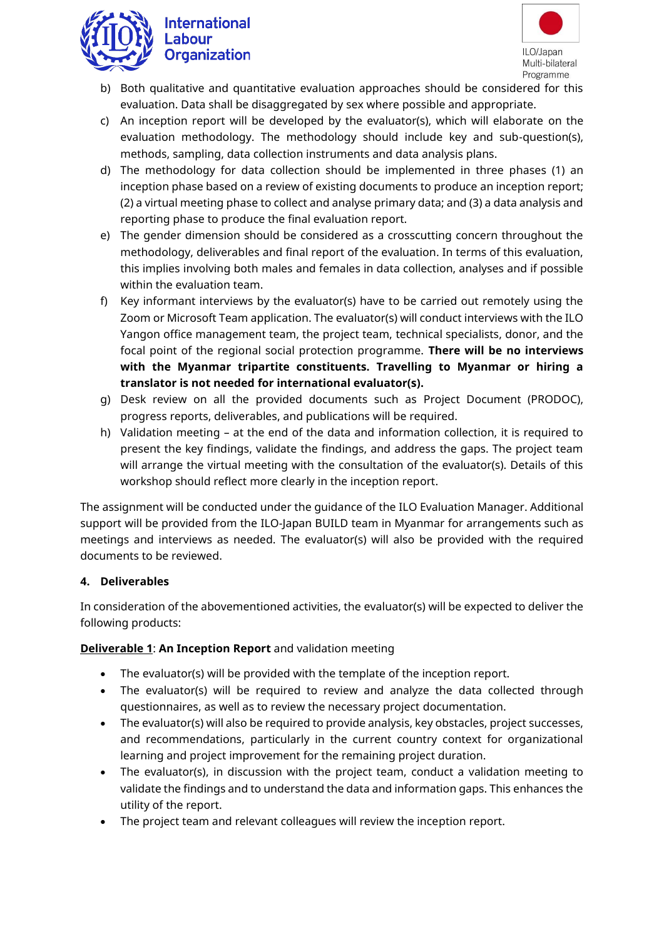

# **International** Labour **Organization**



- b) Both qualitative and quantitative evaluation approaches should be considered for this evaluation. Data shall be disaggregated by sex where possible and appropriate.
- c) An inception report will be developed by the evaluator(s), which will elaborate on the evaluation methodology. The methodology should include key and sub-question(s), methods, sampling, data collection instruments and data analysis plans.
- d) The methodology for data collection should be implemented in three phases (1) an inception phase based on a review of existing documents to produce an inception report; (2) a virtual meeting phase to collect and analyse primary data; and (3) a data analysis and reporting phase to produce the final evaluation report.
- e) The gender dimension should be considered as a crosscutting concern throughout the methodology, deliverables and final report of the evaluation. In terms of this evaluation, this implies involving both males and females in data collection, analyses and if possible within the evaluation team.
- f) Key informant interviews by the evaluator(s) have to be carried out remotely using the Zoom or Microsoft Team application. The evaluator(s) will conduct interviews with the ILO Yangon office management team, the project team, technical specialists, donor, and the focal point of the regional social protection programme. **There will be no interviews with the Myanmar tripartite constituents. Travelling to Myanmar or hiring a translator is not needed for international evaluator(s).**
- g) Desk review on all the provided documents such as Project Document (PRODOC), progress reports, deliverables, and publications will be required.
- h) Validation meeting at the end of the data and information collection, it is required to present the key findings, validate the findings, and address the gaps. The project team will arrange the virtual meeting with the consultation of the evaluator(s). Details of this workshop should reflect more clearly in the inception report.

The assignment will be conducted under the guidance of the ILO Evaluation Manager. Additional support will be provided from the ILO-Japan BUILD team in Myanmar for arrangements such as meetings and interviews as needed. The evaluator(s) will also be provided with the required documents to be reviewed.

## **4. Deliverables**

In consideration of the abovementioned activities, the evaluator(s) will be expected to deliver the following products:

## **Deliverable 1**: **An Inception Report** and validation meeting

- The evaluator(s) will be provided with the template of the inception report.
- The evaluator(s) will be required to review and analyze the data collected through questionnaires, as well as to review the necessary project documentation.
- The evaluator(s) will also be required to provide analysis, key obstacles, project successes, and recommendations, particularly in the current country context for organizational learning and project improvement for the remaining project duration.
- The evaluator(s), in discussion with the project team, conduct a validation meeting to validate the findings and to understand the data and information gaps. This enhances the utility of the report.
- The project team and relevant colleagues will review the inception report.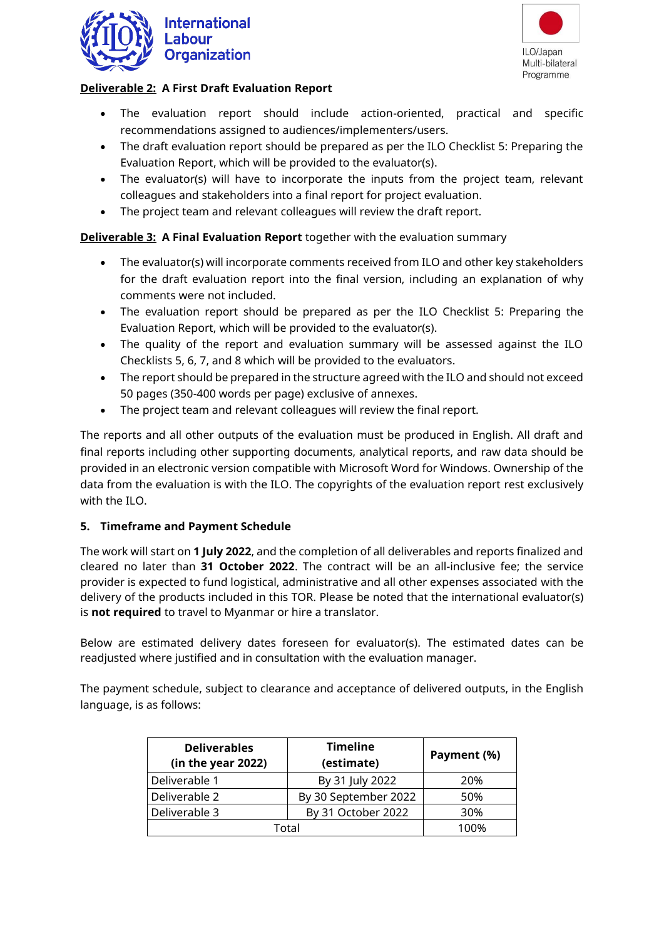



### **Deliverable 2: A First Draft Evaluation Report**

- The evaluation report should include action-oriented, practical and specific recommendations assigned to audiences/implementers/users.
- The draft evaluation report should be prepared as per the ILO Checklist 5: Preparing the Evaluation Report, which will be provided to the evaluator(s).
- The evaluator(s) will have to incorporate the inputs from the project team, relevant colleagues and stakeholders into a final report for project evaluation.
- The project team and relevant colleagues will review the draft report.

### **Deliverable 3: A Final Evaluation Report** together with the evaluation summary

- The evaluator(s) will incorporate comments received from ILO and other key stakeholders for the draft evaluation report into the final version, including an explanation of why comments were not included.
- The evaluation report should be prepared as per the ILO Checklist 5: Preparing the Evaluation Report, which will be provided to the evaluator(s).
- The quality of the report and evaluation summary will be assessed against the ILO Checklists 5, 6, 7, and 8 which will be provided to the evaluators.
- The report should be prepared in the structure agreed with the ILO and should not exceed 50 pages (350-400 words per page) exclusive of annexes.
- The project team and relevant colleagues will review the final report.

The reports and all other outputs of the evaluation must be produced in English. All draft and final reports including other supporting documents, analytical reports, and raw data should be provided in an electronic version compatible with Microsoft Word for Windows. Ownership of the data from the evaluation is with the ILO. The copyrights of the evaluation report rest exclusively with the ILO.

#### **5. Timeframe and Payment Schedule**

The work will start on **1 July 2022**, and the completion of all deliverables and reports finalized and cleared no later than **31 October 2022**. The contract will be an all-inclusive fee; the service provider is expected to fund logistical, administrative and all other expenses associated with the delivery of the products included in this TOR. Please be noted that the international evaluator(s) is **not required** to travel to Myanmar or hire a translator.

Below are estimated delivery dates foreseen for evaluator(s). The estimated dates can be readjusted where justified and in consultation with the evaluation manager.

The payment schedule, subject to clearance and acceptance of delivered outputs, in the English language, is as follows:

| <b>Deliverables</b><br>(in the year 2022) | <b>Timeline</b><br>(estimate) | Payment (%) |
|-------------------------------------------|-------------------------------|-------------|
| Deliverable 1                             | By 31 July 2022               | 20%         |
| Deliverable 2                             | By 30 September 2022          | 50%         |
| Deliverable 3                             | By 31 October 2022            | 30%         |
| Total                                     | 100%                          |             |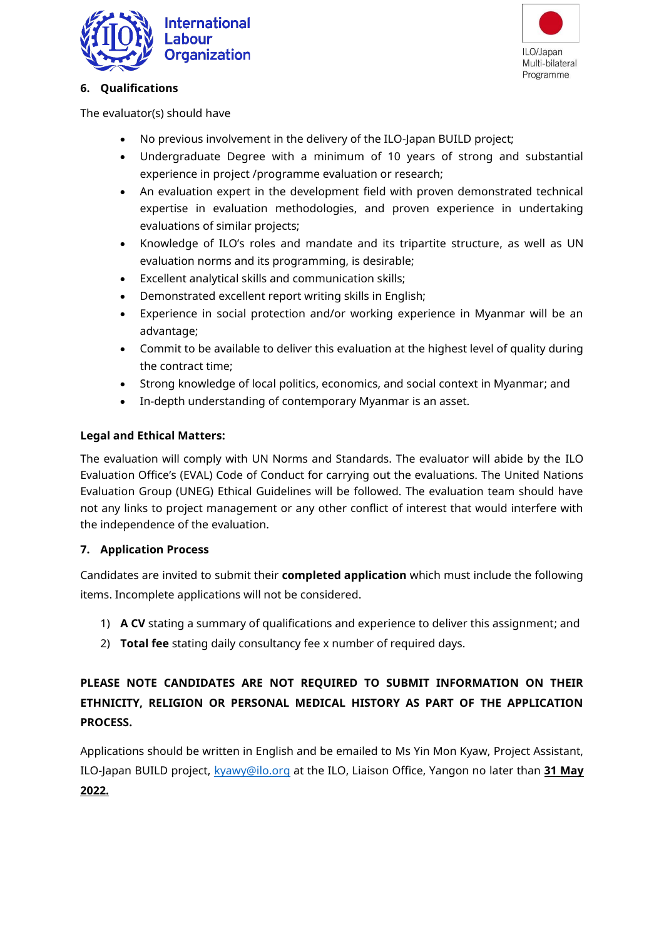



### **6. Qualifications**

The evaluator(s) should have

- No previous involvement in the delivery of the ILO-Japan BUILD project;
- Undergraduate Degree with a minimum of 10 years of strong and substantial experience in project /programme evaluation or research;
- An evaluation expert in the development field with proven demonstrated technical expertise in evaluation methodologies, and proven experience in undertaking evaluations of similar projects;
- Knowledge of ILO's roles and mandate and its tripartite structure, as well as UN evaluation norms and its programming, is desirable;
- Excellent analytical skills and communication skills;
- Demonstrated excellent report writing skills in English;
- Experience in social protection and/or working experience in Myanmar will be an advantage;
- Commit to be available to deliver this evaluation at the highest level of quality during the contract time;
- Strong knowledge of local politics, economics, and social context in Myanmar; and
- In-depth understanding of contemporary Myanmar is an asset.

## **Legal and Ethical Matters:**

The evaluation will comply with UN Norms and Standards. The evaluator will abide by the ILO Evaluation Office's (EVAL) Code of Conduct for carrying out the evaluations. The United Nations Evaluation Group (UNEG) Ethical Guidelines will be followed. The evaluation team should have not any links to project management or any other conflict of interest that would interfere with the independence of the evaluation.

## **7. Application Process**

Candidates are invited to submit their **completed application** which must include the following items. Incomplete applications will not be considered.

- 1) **A CV** stating a summary of qualifications and experience to deliver this assignment; and
- 2) **Total fee** stating daily consultancy fee x number of required days.

# **PLEASE NOTE CANDIDATES ARE NOT REQUIRED TO SUBMIT INFORMATION ON THEIR ETHNICITY, RELIGION OR PERSONAL MEDICAL HISTORY AS PART OF THE APPLICATION PROCESS.**

Applications should be written in English and be emailed to Ms Yin Mon Kyaw, Project Assistant, ILO-Japan BUILD project, [kyawy@ilo.org](mailto:kyawy@ilo.org) at the ILO, Liaison Office, Yangon no later than **31 May 2022.**